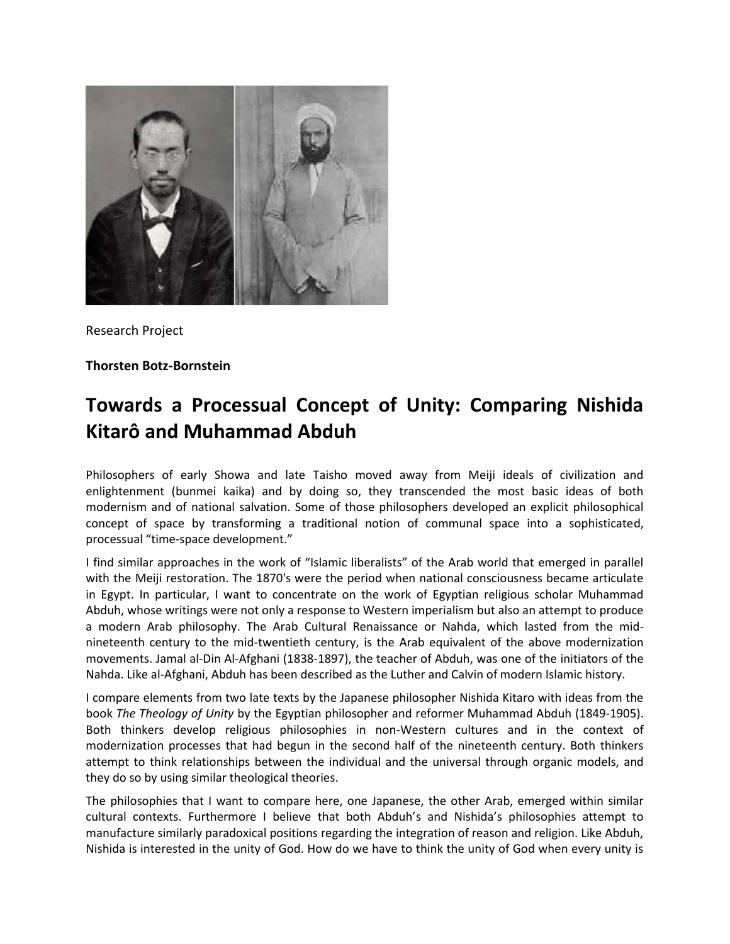

Research Project

**Thorsten Botz-Bornstein**

## **Towards a Processual Concept of Unity: Comparing Nishida Kitarô and Muhammad Abduh**

Philosophers of early Showa and late Taisho moved away from Meiji ideals of civilization and enlightenment (bunmei kaika) and by doing so, they transcended the most basic ideas of both modernism and of national salvation. Some of those philosophers developed an explicit philosophical concept of space by transforming a traditional notion of communal space into a sophisticated, processual "time-space development."

I find similar approaches in the work of "Islamic liberalists" of the Arab world that emerged in parallel with the Meiji restoration. The 1870's were the period when national consciousness became articulate in Egypt. In particular, I want to concentrate on the work of Egyptian religious scholar Muhammad Abduh, whose writings were not only a response to Western imperialism but also an attempt to produce a modern Arab philosophy. The Arab Cultural Renaissance or Nahda, which lasted from the midnineteenth century to the mid-twentieth century, is the Arab equivalent of the above modernization movements. Jamal al-Din Al-Afghani (1838-1897), the teacher of Abduh, was one of the initiators of the Nahda. Like al-Afghani, Abduh has been described as the Luther and Calvin of modern Islamic history.

I compare elements from two late texts by the Japanese philosopher Nishida Kitaro with ideas from the book *The Theology of Unity* by the Egyptian philosopher and reformer Muhammad Abduh (1849-1905). Both thinkers develop religious philosophies in non-Western cultures and in the context of modernization processes that had begun in the second half of the nineteenth century. Both thinkers attempt to think relationships between the individual and the universal through organic models, and they do so by using similar theological theories.

The philosophies that I want to compare here, one Japanese, the other Arab, emerged within similar cultural contexts. Furthermore I believe that both Abduh's and Nishida's philosophies attempt to manufacture similarly paradoxical positions regarding the integration of reason and religion. Like Abduh, Nishida is interested in the unity of God. How do we have to think the unity of God when every unity is